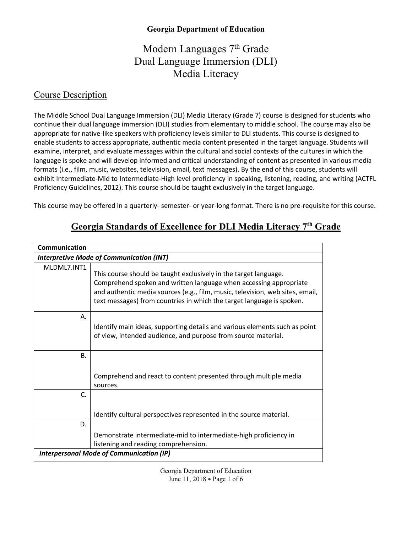# Modern Languages 7<sup>th</sup> Grade Dual Language Immersion (DLI) Media Literacy

#### Course Description

The Middle School Dual Language Immersion (DLI) Media Literacy (Grade 7) course is designed for students who continue their dual language immersion (DLI) studies from elementary to middle school. The course may also be appropriate for native-like speakers with proficiency levels similar to DLI students. This course is designed to enable students to access appropriate, authentic media content presented in the target language. Students will examine, interpret, and evaluate messages within the cultural and social contexts of the cultures in which the language is spoke and will develop informed and critical understanding of content as presented in various media formats (i.e., film, music, websites, television, email, text messages). By the end of this course, students will exhibit Intermediate-Mid to Intermediate-High level proficiency in speaking, listening, reading, and writing (ACTFL Proficiency Guidelines, 2012). This course should be taught exclusively in the target language.

This course may be offered in a quarterly- semester- or year-long format. There is no pre-requisite for this course.

| Communication                                   |                                                                                                                                                                                                                                                                                                 |  |  |
|-------------------------------------------------|-------------------------------------------------------------------------------------------------------------------------------------------------------------------------------------------------------------------------------------------------------------------------------------------------|--|--|
|                                                 | <b>Interpretive Mode of Communication (INT)</b>                                                                                                                                                                                                                                                 |  |  |
| MLDML7.INT1                                     | This course should be taught exclusively in the target language.<br>Comprehend spoken and written language when accessing appropriate<br>and authentic media sources (e.g., film, music, television, web sites, email,<br>text messages) from countries in which the target language is spoken. |  |  |
| Α.                                              | Identify main ideas, supporting details and various elements such as point<br>of view, intended audience, and purpose from source material.                                                                                                                                                     |  |  |
| <b>B.</b>                                       |                                                                                                                                                                                                                                                                                                 |  |  |
|                                                 | Comprehend and react to content presented through multiple media<br>sources.                                                                                                                                                                                                                    |  |  |
| C.                                              |                                                                                                                                                                                                                                                                                                 |  |  |
|                                                 | Identify cultural perspectives represented in the source material.                                                                                                                                                                                                                              |  |  |
| D.                                              |                                                                                                                                                                                                                                                                                                 |  |  |
|                                                 | Demonstrate intermediate-mid to intermediate-high proficiency in                                                                                                                                                                                                                                |  |  |
|                                                 | listening and reading comprehension.                                                                                                                                                                                                                                                            |  |  |
| <b>Interpersonal Mode of Communication (IP)</b> |                                                                                                                                                                                                                                                                                                 |  |  |

## **Georgia Standards of Excellence for DLI Media Literacy 7th Grade**

Georgia Department of Education June 11, 2018 • Page 1 of 6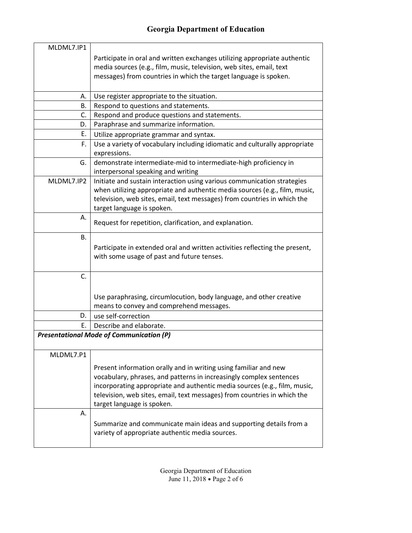| MLDML7.IP1 |                                                                             |
|------------|-----------------------------------------------------------------------------|
|            | Participate in oral and written exchanges utilizing appropriate authentic   |
|            | media sources (e.g., film, music, television, web sites, email, text        |
|            | messages) from countries in which the target language is spoken.            |
|            |                                                                             |
| А.         | Use register appropriate to the situation.                                  |
| В.         | Respond to questions and statements.                                        |
| C.         | Respond and produce questions and statements.                               |
| D.         | Paraphrase and summarize information.                                       |
| Ε.         | Utilize appropriate grammar and syntax.                                     |
| F.         | Use a variety of vocabulary including idiomatic and culturally appropriate  |
|            | expressions.                                                                |
| G.         | demonstrate intermediate-mid to intermediate-high proficiency in            |
|            | interpersonal speaking and writing                                          |
| MLDML7.IP2 | Initiate and sustain interaction using various communication strategies     |
|            | when utilizing appropriate and authentic media sources (e.g., film, music,  |
|            | television, web sites, email, text messages) from countries in which the    |
|            | target language is spoken.                                                  |
| Α.         | Request for repetition, clarification, and explanation.                     |
|            |                                                                             |
| <b>B.</b>  |                                                                             |
|            | Participate in extended oral and written activities reflecting the present, |
|            | with some usage of past and future tenses.                                  |
|            |                                                                             |
| C.         |                                                                             |
|            |                                                                             |
|            | Use paraphrasing, circumlocution, body language, and other creative         |
|            | means to convey and comprehend messages.                                    |
| D.         | use self-correction                                                         |
| Е.         | Describe and elaborate.                                                     |
|            | <b>Presentational Mode of Communication (P)</b>                             |
|            |                                                                             |
| MLDML7.P1  |                                                                             |
|            | Present information orally and in writing using familiar and new            |
|            | vocabulary, phrases, and patterns in increasingly complex sentences         |
|            | incorporating appropriate and authentic media sources (e.g., film, music,   |
|            | television, web sites, email, text messages) from countries in which the    |
|            | target language is spoken.                                                  |
| Α.         |                                                                             |
|            | Summarize and communicate main ideas and supporting details from a          |
|            | variety of appropriate authentic media sources.                             |
|            |                                                                             |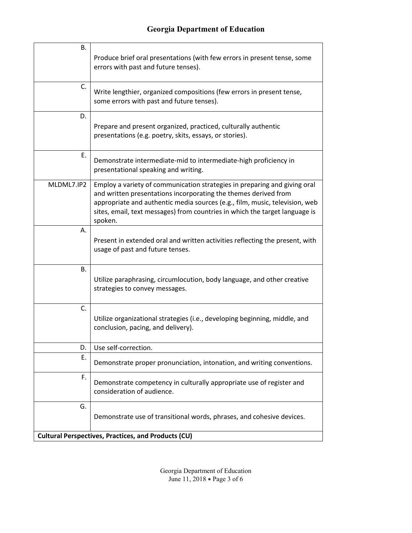| В.                                                         | Produce brief oral presentations (with few errors in present tense, some<br>errors with past and future tenses).                                                                                                                                                                                                      |  |
|------------------------------------------------------------|-----------------------------------------------------------------------------------------------------------------------------------------------------------------------------------------------------------------------------------------------------------------------------------------------------------------------|--|
| C.                                                         | Write lengthier, organized compositions (few errors in present tense,<br>some errors with past and future tenses).                                                                                                                                                                                                    |  |
| D.                                                         | Prepare and present organized, practiced, culturally authentic<br>presentations (e.g. poetry, skits, essays, or stories).                                                                                                                                                                                             |  |
| Ε.                                                         | Demonstrate intermediate-mid to intermediate-high proficiency in<br>presentational speaking and writing.                                                                                                                                                                                                              |  |
| MLDML7.IP2                                                 | Employ a variety of communication strategies in preparing and giving oral<br>and written presentations incorporating the themes derived from<br>appropriate and authentic media sources (e.g., film, music, television, web<br>sites, email, text messages) from countries in which the target language is<br>spoken. |  |
| А.                                                         | Present in extended oral and written activities reflecting the present, with<br>usage of past and future tenses.                                                                                                                                                                                                      |  |
| В.                                                         | Utilize paraphrasing, circumlocution, body language, and other creative<br>strategies to convey messages.                                                                                                                                                                                                             |  |
| C.                                                         | Utilize organizational strategies (i.e., developing beginning, middle, and<br>conclusion, pacing, and delivery).                                                                                                                                                                                                      |  |
| D.                                                         | Use self-correction.                                                                                                                                                                                                                                                                                                  |  |
| Ε.                                                         | Demonstrate proper pronunciation, intonation, and writing conventions.                                                                                                                                                                                                                                                |  |
| F.                                                         | Demonstrate competency in culturally appropriate use of register and<br>consideration of audience.                                                                                                                                                                                                                    |  |
| G.                                                         | Demonstrate use of transitional words, phrases, and cohesive devices.                                                                                                                                                                                                                                                 |  |
| <b>Cultural Perspectives, Practices, and Products (CU)</b> |                                                                                                                                                                                                                                                                                                                       |  |

Georgia Department of Education June 11, 2018 • Page 3 of 6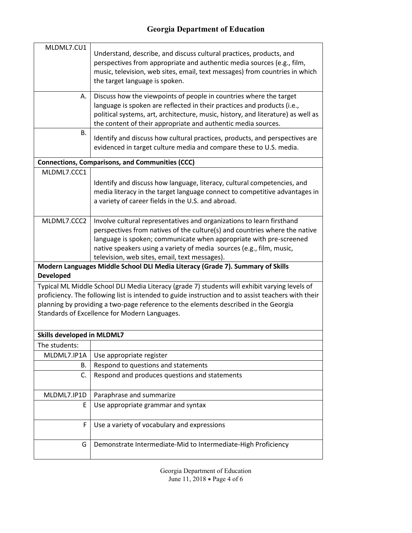| MLDML7.CU1                                                                                                                                                                                                                                                                                                                                  | Understand, describe, and discuss cultural practices, products, and<br>perspectives from appropriate and authentic media sources (e.g., film,<br>music, television, web sites, email, text messages) from countries in which<br>the target language is spoken.                                                                                     |  |
|---------------------------------------------------------------------------------------------------------------------------------------------------------------------------------------------------------------------------------------------------------------------------------------------------------------------------------------------|----------------------------------------------------------------------------------------------------------------------------------------------------------------------------------------------------------------------------------------------------------------------------------------------------------------------------------------------------|--|
| А.                                                                                                                                                                                                                                                                                                                                          | Discuss how the viewpoints of people in countries where the target<br>language is spoken are reflected in their practices and products (i.e.,<br>political systems, art, architecture, music, history, and literature) as well as<br>the content of their appropriate and authentic media sources.                                                 |  |
| В.                                                                                                                                                                                                                                                                                                                                          | Identify and discuss how cultural practices, products, and perspectives are<br>evidenced in target culture media and compare these to U.S. media.                                                                                                                                                                                                  |  |
|                                                                                                                                                                                                                                                                                                                                             | <b>Connections, Comparisons, and Communities (CCC)</b>                                                                                                                                                                                                                                                                                             |  |
| MLDML7.CCC1                                                                                                                                                                                                                                                                                                                                 |                                                                                                                                                                                                                                                                                                                                                    |  |
|                                                                                                                                                                                                                                                                                                                                             | Identify and discuss how language, literacy, cultural competencies, and<br>media literacy in the target language connect to competitive advantages in<br>a variety of career fields in the U.S. and abroad.                                                                                                                                        |  |
| MLDML7.CCC2                                                                                                                                                                                                                                                                                                                                 | Involve cultural representatives and organizations to learn firsthand<br>perspectives from natives of the culture(s) and countries where the native<br>language is spoken; communicate when appropriate with pre-screened<br>native speakers using a variety of media sources (e.g., film, music,<br>television, web sites, email, text messages). |  |
| <b>Developed</b>                                                                                                                                                                                                                                                                                                                            | Modern Languages Middle School DLI Media Literacy (Grade 7). Summary of Skills                                                                                                                                                                                                                                                                     |  |
| Typical ML Middle School DLI Media Literacy (grade 7) students will exhibit varying levels of<br>proficiency. The following list is intended to guide instruction and to assist teachers with their<br>planning by providing a two-page reference to the elements described in the Georgia<br>Standards of Excellence for Modern Languages. |                                                                                                                                                                                                                                                                                                                                                    |  |
| <b>Skills developed in MLDML7</b>                                                                                                                                                                                                                                                                                                           |                                                                                                                                                                                                                                                                                                                                                    |  |
| The students:                                                                                                                                                                                                                                                                                                                               |                                                                                                                                                                                                                                                                                                                                                    |  |
| MLDML7.IP1A                                                                                                                                                                                                                                                                                                                                 | Use appropriate register                                                                                                                                                                                                                                                                                                                           |  |
| В.                                                                                                                                                                                                                                                                                                                                          | Respond to questions and statements                                                                                                                                                                                                                                                                                                                |  |
| C.                                                                                                                                                                                                                                                                                                                                          | Respond and produces questions and statements                                                                                                                                                                                                                                                                                                      |  |
| MLDML7.IP1D                                                                                                                                                                                                                                                                                                                                 | Paraphrase and summarize                                                                                                                                                                                                                                                                                                                           |  |
| E                                                                                                                                                                                                                                                                                                                                           | Use appropriate grammar and syntax                                                                                                                                                                                                                                                                                                                 |  |
| F                                                                                                                                                                                                                                                                                                                                           | Use a variety of vocabulary and expressions                                                                                                                                                                                                                                                                                                        |  |
| G                                                                                                                                                                                                                                                                                                                                           | Demonstrate Intermediate-Mid to Intermediate-High Proficiency                                                                                                                                                                                                                                                                                      |  |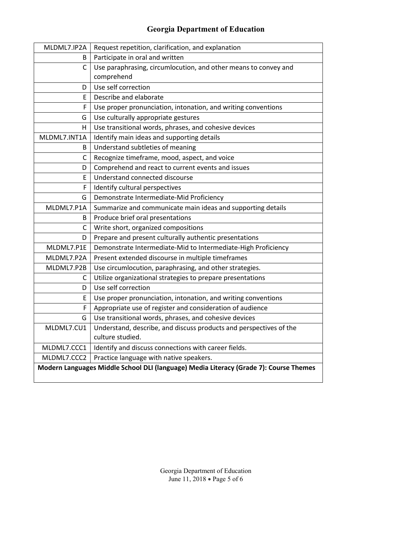| MLDML7.IP2A  | Request repetition, clarification, and explanation                                     |
|--------------|----------------------------------------------------------------------------------------|
| B            | Participate in oral and written                                                        |
| C            | Use paraphrasing, circumlocution, and other means to convey and                        |
|              | comprehend                                                                             |
| D            | Use self correction                                                                    |
| E            | Describe and elaborate                                                                 |
| F            | Use proper pronunciation, intonation, and writing conventions                          |
| G            | Use culturally appropriate gestures                                                    |
| H.           | Use transitional words, phrases, and cohesive devices                                  |
| MLDML7.INT1A | Identify main ideas and supporting details                                             |
| B            | Understand subtleties of meaning                                                       |
| $\mathsf{C}$ | Recognize timeframe, mood, aspect, and voice                                           |
| D            | Comprehend and react to current events and issues                                      |
| E            | Understand connected discourse                                                         |
| F            | Identify cultural perspectives                                                         |
| G            | Demonstrate Intermediate-Mid Proficiency                                               |
| MLDML7.P1A   | Summarize and communicate main ideas and supporting details                            |
| B            | Produce brief oral presentations                                                       |
| C            | Write short, organized compositions                                                    |
| D            | Prepare and present culturally authentic presentations                                 |
| MLDML7.P1E   | Demonstrate Intermediate-Mid to Intermediate-High Proficiency                          |
| MLDML7.P2A   | Present extended discourse in multiple timeframes                                      |
| MLDML7.P2B   | Use circumlocution, paraphrasing, and other strategies.                                |
| C            | Utilize organizational strategies to prepare presentations                             |
| D            | Use self correction                                                                    |
| E            | Use proper pronunciation, intonation, and writing conventions                          |
| F            | Appropriate use of register and consideration of audience                              |
| G            | Use transitional words, phrases, and cohesive devices                                  |
| MLDML7.CU1   | Understand, describe, and discuss products and perspectives of the<br>culture studied. |
| MLDML7.CCC1  | Identify and discuss connections with career fields.                                   |
| MLDML7.CCC2  | Practice language with native speakers.                                                |
|              | Modern Languages Middle School DLI (language) Media Literacy (Grade 7): Course Themes  |